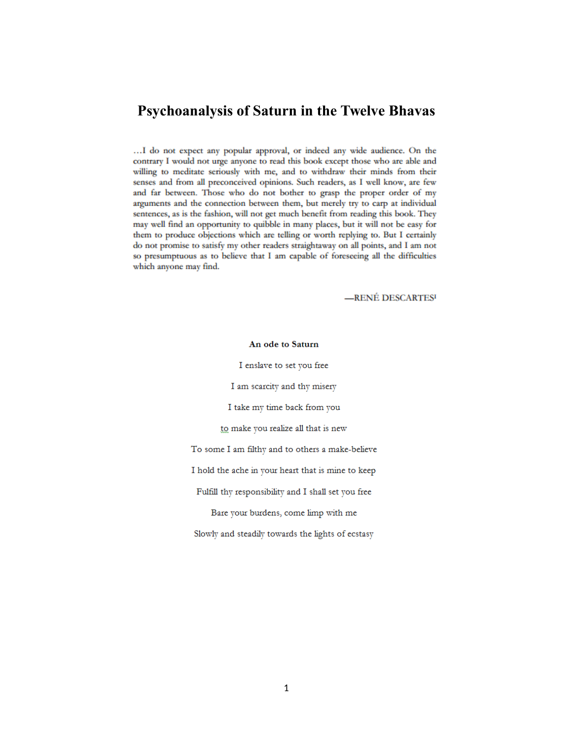# **Psychoanalysis of Saturn in the Twelve Bhavas**

... I do not expect any popular approval, or indeed any wide audience. On the contrary I would not urge anyone to read this book except those who are able and willing to meditate seriously with me, and to withdraw their minds from their senses and from all preconceived opinions. Such readers, as I well know, are few and far between. Those who do not bother to grasp the proper order of my arguments and the connection between them, but merely try to carp at individual sentences, as is the fashion, will not get much benefit from reading this book. They may well find an opportunity to quibble in many places, but it will not be easy for them to produce objections which are telling or worth replying to. But I certainly do not promise to satisfy my other readers straightaway on all points, and I am not so presumptuous as to believe that I am capable of foreseeing all the difficulties which anyone may find.

-RENÉ DESCARTES<sup>I</sup>

#### An ode to Saturn

I enslave to set you free

I am scarcity and thy misery

I take my time back from you

to make you realize all that is new

To some I am filthy and to others a make-believe

I hold the ache in your heart that is mine to keep

Fulfill thy responsibility and I shall set you free

Bare your burdens, come limp with me

Slowly and steadily towards the lights of ecstasy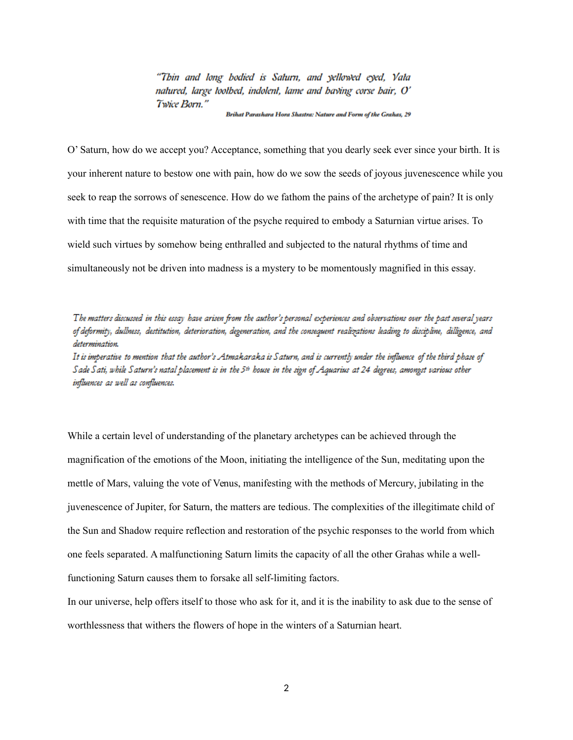"Thin and long bodied is Saturn, and yellowed eyed, Vata natured, large toothed, indolent, lame and baying corse bair, O' Twice Born."

Brihat Parashara Hora Shastra: Nature and Form of the Grahas, 29

O' Saturn, how do we accept you? Acceptance, something that you dearly seek ever since your birth. It is your inherent nature to bestow one with pain, how do we sow the seeds of joyous juvenescence while you seek to reap the sorrows of senescence. How do we fathom the pains of the archetype of pain? It is only with time that the requisite maturation of the psyche required to embody a Saturnian virtue arises. To wield such virtues by somehow being enthralled and subjected to the natural rhythms of time and simultaneously not be driven into madness is a mystery to be momentously magnified in this essay.

The matters discussed in this essay have arisen from the author's personal experiences and observations over the past several years of deformity, dullness, destitution, deterioration, degeneration, and the consequent realizations leading to discipline, dilligence, and determination. It is imperative to mention that the author's Atmakaraka is Saturn, and is currently under the influence of the third phase of Sade Sati, while Saturn's natal placement is in the 5th house in the sign of Aquarius at 24 degrees, amongst various other influences as well as confluences.

While a certain level of understanding of the planetary archetypes can be achieved through the magnification of the emotions of the Moon, initiating the intelligence of the Sun, meditating upon the mettle of Mars, valuing the vote of Venus, manifesting with the methods of Mercury, jubilating in the juvenescence of Jupiter, for Saturn, the matters are tedious. The complexities of the illegitimate child of the Sun and Shadow require reflection and restoration of the psychic responses to the world from which one feels separated. A malfunctioning Saturn limits the capacity of all the other Grahas while a wellfunctioning Saturn causes them to forsake all self-limiting factors.

In our universe, help offers itself to those who ask for it, and it is the inability to ask due to the sense of worthlessness that withers the flowers of hope in the winters of a Saturnian heart.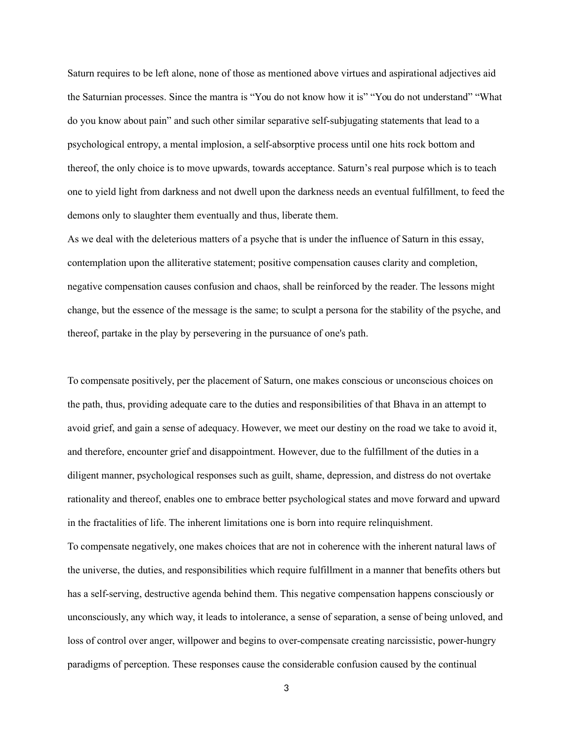Saturn requires to be left alone, none of those as mentioned above virtues and aspirational adjectives aid the Saturnian processes. Since the mantra is "You do not know how it is" "You do not understand" "What do you know about pain" and such other similar separative self-subjugating statements that lead to a psychological entropy, a mental implosion, a self-absorptive process until one hits rock bottom and thereof, the only choice is to move upwards, towards acceptance. Saturn's real purpose which is to teach one to yield light from darkness and not dwell upon the darkness needs an eventual fulfillment, to feed the demons only to slaughter them eventually and thus, liberate them.

As we deal with the deleterious matters of a psyche that is under the influence of Saturn in this essay, contemplation upon the alliterative statement; positive compensation causes clarity and completion, negative compensation causes confusion and chaos, shall be reinforced by the reader. The lessons might change, but the essence of the message is the same; to sculpt a persona for the stability of the psyche, and thereof, partake in the play by persevering in the pursuance of one's path.

To compensate positively, per the placement of Saturn, one makes conscious or unconscious choices on the path, thus, providing adequate care to the duties and responsibilities of that Bhava in an attempt to avoid grief, and gain a sense of adequacy. However, we meet our destiny on the road we take to avoid it, and therefore, encounter grief and disappointment. However, due to the fulfillment of the duties in a diligent manner, psychological responses such as guilt, shame, depression, and distress do not overtake rationality and thereof, enables one to embrace better psychological states and move forward and upward in the fractalities of life. The inherent limitations one is born into require relinquishment. To compensate negatively, one makes choices that are not in coherence with the inherent natural laws of the universe, the duties, and responsibilities which require fulfillment in a manner that benefits others but has a self-serving, destructive agenda behind them. This negative compensation happens consciously or unconsciously, any which way, it leads to intolerance, a sense of separation, a sense of being unloved, and loss of control over anger, willpower and begins to over-compensate creating narcissistic, power-hungry paradigms of perception. These responses cause the considerable confusion caused by the continual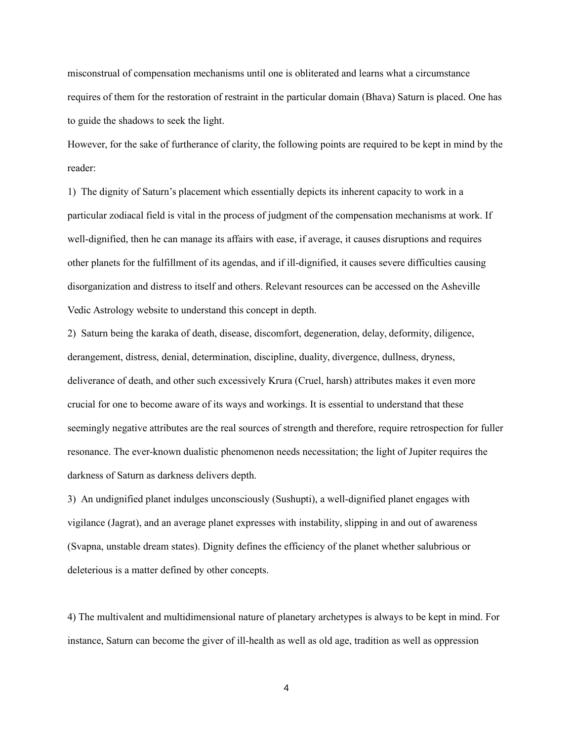misconstrual of compensation mechanisms until one is obliterated and learns what a circumstance requires of them for the restoration of restraint in the particular domain (Bhava) Saturn is placed. One has to guide the shadows to seek the light.

However, for the sake of furtherance of clarity, the following points are required to be kept in mind by the reader:

1) The dignity of Saturn's placement which essentially depicts its inherent capacity to work in a particular zodiacal field is vital in the process of judgment of the compensation mechanisms at work. If well-dignified, then he can manage its affairs with ease, if average, it causes disruptions and requires other planets for the fulfillment of its agendas, and if ill-dignified, it causes severe difficulties causing disorganization and distress to itself and others. Relevant resources can be accessed on the Asheville Vedic Astrology website to understand this concept in depth.

2) Saturn being the karaka of death, disease, discomfort, degeneration, delay, deformity, diligence, derangement, distress, denial, determination, discipline, duality, divergence, dullness, dryness, deliverance of death, and other such excessively Krura (Cruel, harsh) attributes makes it even more crucial for one to become aware of its ways and workings. It is essential to understand that these seemingly negative attributes are the real sources of strength and therefore, require retrospection for fuller resonance. The ever-known dualistic phenomenon needs necessitation; the light of Jupiter requires the darkness of Saturn as darkness delivers depth.

3) An undignified planet indulges unconsciously (Sushupti), a well-dignified planet engages with vigilance (Jagrat), and an average planet expresses with instability, slipping in and out of awareness (Svapna, unstable dream states). Dignity defines the efficiency of the planet whether salubrious or deleterious is a matter defined by other concepts.

4) The multivalent and multidimensional nature of planetary archetypes is always to be kept in mind. For instance, Saturn can become the giver of ill-health as well as old age, tradition as well as oppression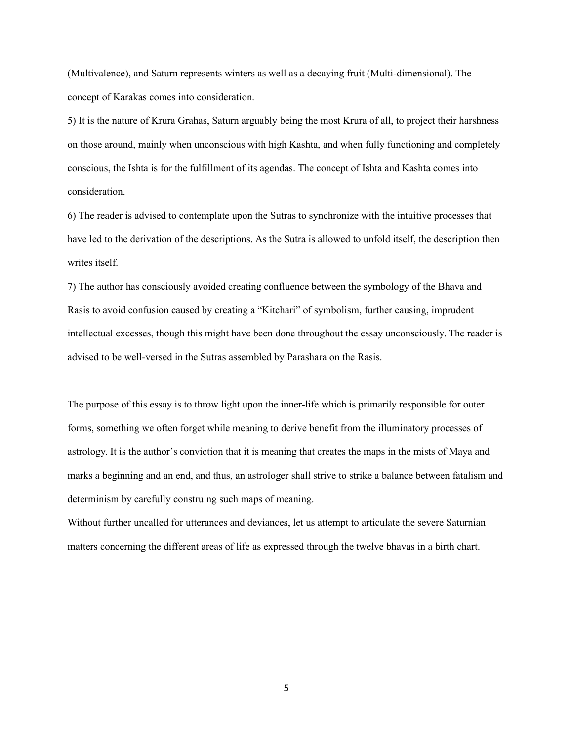(Multivalence), and Saturn represents winters as well as a decaying fruit (Multi-dimensional). The concept of Karakas comes into consideration.

5) It is the nature of Krura Grahas, Saturn arguably being the most Krura of all, to project their harshness on those around, mainly when unconscious with high Kashta, and when fully functioning and completely conscious, the Ishta is for the fulfillment of its agendas. The concept of Ishta and Kashta comes into consideration.

6) The reader is advised to contemplate upon the Sutras to synchronize with the intuitive processes that have led to the derivation of the descriptions. As the Sutra is allowed to unfold itself, the description then writes itself.

7) The author has consciously avoided creating confluence between the symbology of the Bhava and Rasis to avoid confusion caused by creating a "Kitchari" of symbolism, further causing, imprudent intellectual excesses, though this might have been done throughout the essay unconsciously. The reader is advised to be well-versed in the Sutras assembled by Parashara on the Rasis.

The purpose of this essay is to throw light upon the inner-life which is primarily responsible for outer forms, something we often forget while meaning to derive benefit from the illuminatory processes of astrology. It is the author's conviction that it is meaning that creates the maps in the mists of Maya and marks a beginning and an end, and thus, an astrologer shall strive to strike a balance between fatalism and determinism by carefully construing such maps of meaning.

Without further uncalled for utterances and deviances, let us attempt to articulate the severe Saturnian matters concerning the different areas of life as expressed through the twelve bhavas in a birth chart.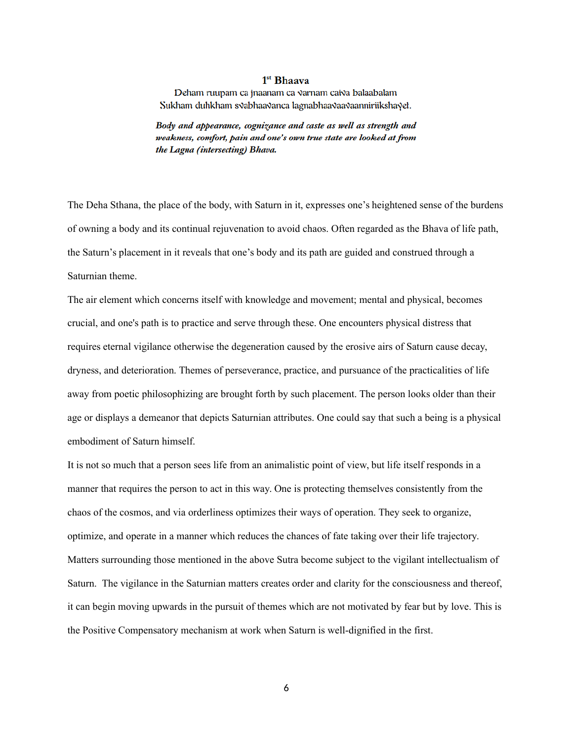#### $1<sup>st</sup>$  Bhaava

Deham ruupam ca jnaanam ca varnam caiva balaabalam Sukham duhkham svabhaavanca lagnabhaavaavaanniriikshayet.

Body and appearance, cognizance and caste as well as strength and weakness, comfort, pain and one's own true state are looked at from the Lagna (intersecting) Bhava.

The Deha Sthana, the place of the body, with Saturn in it, expresses one's heightened sense of the burdens of owning a body and its continual rejuvenation to avoid chaos. Often regarded as the Bhava of life path, the Saturn's placement in it reveals that one's body and its path are guided and construed through a Saturnian theme.

The air element which concerns itself with knowledge and movement; mental and physical, becomes crucial, and one's path is to practice and serve through these. One encounters physical distress that requires eternal vigilance otherwise the degeneration caused by the erosive airs of Saturn cause decay, dryness, and deterioration. Themes of perseverance, practice, and pursuance of the practicalities of life away from poetic philosophizing are brought forth by such placement. The person looks older than their age or displays a demeanor that depicts Saturnian attributes. One could say that such a being is a physical embodiment of Saturn himself.

It is not so much that a person sees life from an animalistic point of view, but life itself responds in a manner that requires the person to act in this way. One is protecting themselves consistently from the chaos of the cosmos, and via orderliness optimizes their ways of operation. They seek to organize, optimize, and operate in a manner which reduces the chances of fate taking over their life trajectory. Matters surrounding those mentioned in the above Sutra become subject to the vigilant intellectualism of Saturn. The vigilance in the Saturnian matters creates order and clarity for the consciousness and thereof, it can begin moving upwards in the pursuit of themes which are not motivated by fear but by love. This is the Positive Compensatory mechanism at work when Saturn is well-dignified in the first.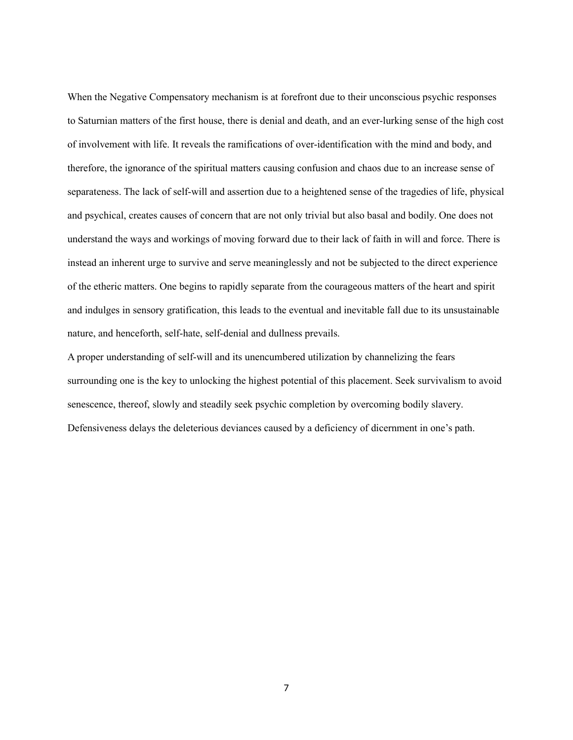When the Negative Compensatory mechanism is at forefront due to their unconscious psychic responses to Saturnian matters of the first house, there is denial and death, and an ever-lurking sense of the high cost of involvement with life. It reveals the ramifications of over-identification with the mind and body, and therefore, the ignorance of the spiritual matters causing confusion and chaos due to an increase sense of separateness. The lack of self-will and assertion due to a heightened sense of the tragedies of life, physical and psychical, creates causes of concern that are not only trivial but also basal and bodily. One does not understand the ways and workings of moving forward due to their lack of faith in will and force. There is instead an inherent urge to survive and serve meaninglessly and not be subjected to the direct experience of the etheric matters. One begins to rapidly separate from the courageous matters of the heart and spirit and indulges in sensory gratification, this leads to the eventual and inevitable fall due to its unsustainable nature, and henceforth, self-hate, self-denial and dullness prevails.

A proper understanding of self-will and its unencumbered utilization by channelizing the fears surrounding one is the key to unlocking the highest potential of this placement. Seek survivalism to avoid senescence, thereof, slowly and steadily seek psychic completion by overcoming bodily slavery. Defensiveness delays the deleterious deviances caused by a deficiency of dicernment in one's path.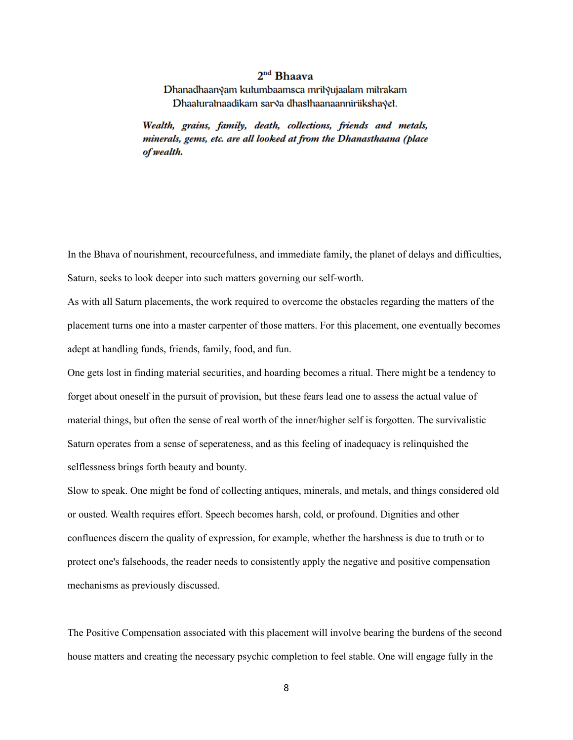## 2<sup>nd</sup> Bhaava

Dhanadhaanyam kutumbaamsca mrityujaalam mitrakam Dhaaturatnaadikam sarva dhasthaanaanniriikshayet.

Wealth, grains, family, death, collections, friends and metals, minerals, gems, etc. are all looked at from the Dhanasthaana (place of wealth.

In the Bhava of nourishment, recourcefulness, and immediate family, the planet of delays and difficulties, Saturn, seeks to look deeper into such matters governing our self-worth.

As with all Saturn placements, the work required to overcome the obstacles regarding the matters of the placement turns one into a master carpenter of those matters. For this placement, one eventually becomes adept at handling funds, friends, family, food, and fun.

One gets lost in finding material securities, and hoarding becomes a ritual. There might be a tendency to forget about oneself in the pursuit of provision, but these fears lead one to assess the actual value of material things, but often the sense of real worth of the inner/higher self is forgotten. The survivalistic Saturn operates from a sense of seperateness, and as this feeling of inadequacy is relinquished the selflessness brings forth beauty and bounty.

Slow to speak. One might be fond of collecting antiques, minerals, and metals, and things considered old or ousted. Wealth requires effort. Speech becomes harsh, cold, or profound. Dignities and other confluences discern the quality of expression, for example, whether the harshness is due to truth or to protect one's falsehoods, the reader needs to consistently apply the negative and positive compensation mechanisms as previously discussed.

The Positive Compensation associated with this placement will involve bearing the burdens of the second house matters and creating the necessary psychic completion to feel stable. One will engage fully in the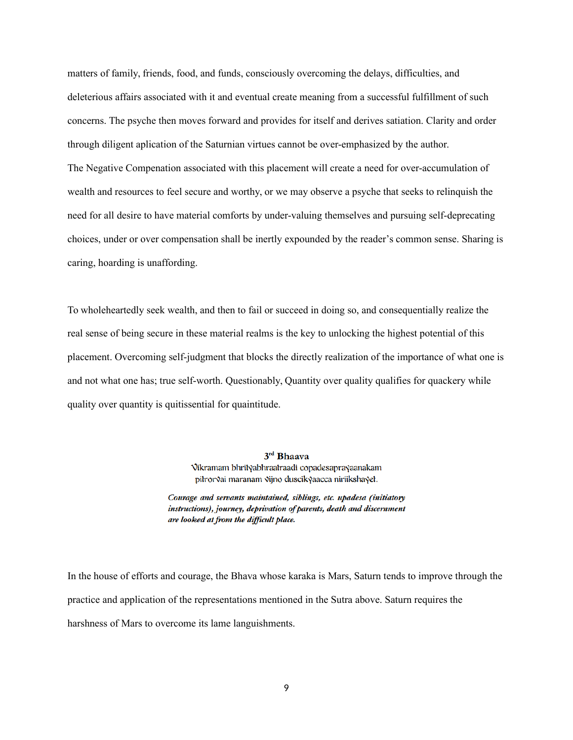matters of family, friends, food, and funds, consciously overcoming the delays, difficulties, and deleterious affairs associated with it and eventual create meaning from a successful fulfillment of such concerns. The psyche then moves forward and provides for itself and derives satiation. Clarity and order through diligent aplication of the Saturnian virtues cannot be over-emphasized by the author. The Negative Compenation associated with this placement will create a need for over-accumulation of wealth and resources to feel secure and worthy, or we may observe a psyche that seeks to relinquish the need for all desire to have material comforts by under-valuing themselves and pursuing self-deprecating choices, under or over compensation shall be inertly expounded by the reader's common sense. Sharing is caring, hoarding is unaffording.

To wholeheartedly seek wealth, and then to fail or succeed in doing so, and consequentially realize the real sense of being secure in these material realms is the key to unlocking the highest potential of this placement. Overcoming self-judgment that blocks the directly realization of the importance of what one is and not what one has; true self-worth. Questionably, Quantity over quality qualifies for quackery while quality over quantity is quitissential for quaintitude.

> 3rd Bhaava Vikramam bhrityabhraatraadi copadesaprayaanakam piłrorvai maranam vijno duscikyaacca niriikshayet.

Courage and servants maintained, siblings, etc. upadesa (initiatory instructions), journey, deprivation of parents, death and discernment are looked at from the difficult place.

In the house of efforts and courage, the Bhava whose karaka is Mars, Saturn tends to improve through the practice and application of the representations mentioned in the Sutra above. Saturn requires the harshness of Mars to overcome its lame languishments.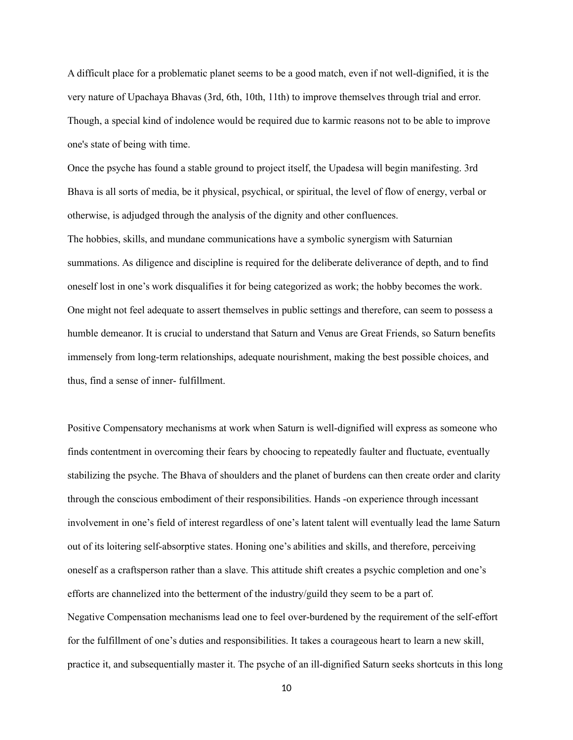A difficult place for a problematic planet seems to be a good match, even if not well-dignified, it is the very nature of Upachaya Bhavas (3rd, 6th, 10th, 11th) to improve themselves through trial and error. Though, a special kind of indolence would be required due to karmic reasons not to be able to improve one's state of being with time.

Once the psyche has found a stable ground to project itself, the Upadesa will begin manifesting. 3rd Bhava is all sorts of media, be it physical, psychical, or spiritual, the level of flow of energy, verbal or otherwise, is adjudged through the analysis of the dignity and other confluences.

The hobbies, skills, and mundane communications have a symbolic synergism with Saturnian summations. As diligence and discipline is required for the deliberate deliverance of depth, and to find oneself lost in one's work disqualifies it for being categorized as work; the hobby becomes the work. One might not feel adequate to assert themselves in public settings and therefore, can seem to possess a humble demeanor. It is crucial to understand that Saturn and Venus are Great Friends, so Saturn benefits immensely from long-term relationships, adequate nourishment, making the best possible choices, and thus, find a sense of inner- fulfillment.

Positive Compensatory mechanisms at work when Saturn is well-dignified will express as someone who finds contentment in overcoming their fears by choocing to repeatedly faulter and fluctuate, eventually stabilizing the psyche. The Bhava of shoulders and the planet of burdens can then create order and clarity through the conscious embodiment of their responsibilities. Hands -on experience through incessant involvement in one's field of interest regardless of one's latent talent will eventually lead the lame Saturn out of its loitering self-absorptive states. Honing one's abilities and skills, and therefore, perceiving oneself as a craftsperson rather than a slave. This attitude shift creates a psychic completion and one's efforts are channelized into the betterment of the industry/guild they seem to be a part of. Negative Compensation mechanisms lead one to feel over-burdened by the requirement of the self-effort for the fulfillment of one's duties and responsibilities. It takes a courageous heart to learn a new skill, practice it, and subsequentially master it. The psyche of an ill-dignified Saturn seeks shortcuts in this long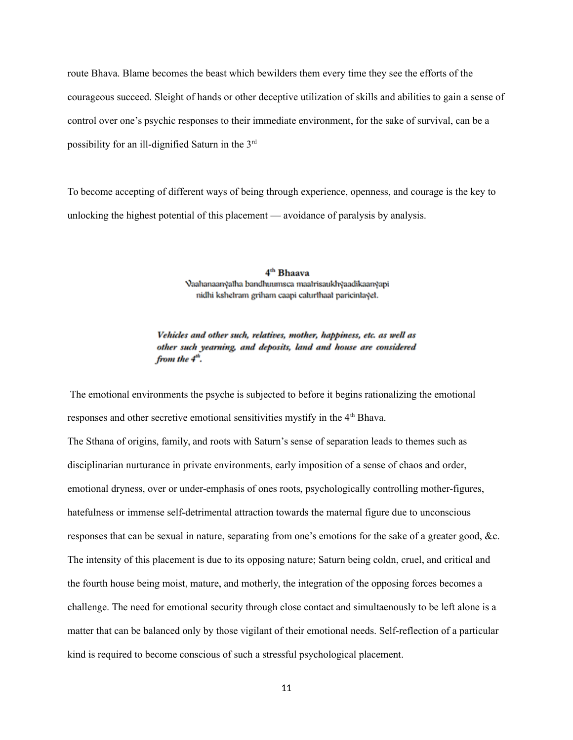route Bhava. Blame becomes the beast which bewilders them every time they see the efforts of the courageous succeed. Sleight of hands or other deceptive utilization of skills and abilities to gain a sense of control over one's psychic responses to their immediate environment, for the sake of survival, can be a possibility for an ill-dignified Saturn in the 3rd

To become accepting of different ways of being through experience, openness, and courage is the key to unlocking the highest potential of this placement — avoidance of paralysis by analysis.

> 4<sup>th</sup> Bhaava Vaahanaanyatha bandhuumsca maatrisaukhyaadikaanyapi nidhi kshelram griham caapi calurlhaal paricinlayel.

Vehicles and other such, relatives, mother, happiness, etc. as well as other such yearning, and deposits, land and house are considered from the  $4<sup>th</sup>$ .

 The emotional environments the psyche is subjected to before it begins rationalizing the emotional responses and other secretive emotional sensitivities mystify in the 4<sup>th</sup> Bhava. The Sthana of origins, family, and roots with Saturn's sense of separation leads to themes such as disciplinarian nurturance in private environments, early imposition of a sense of chaos and order, emotional dryness, over or under-emphasis of ones roots, psychologically controlling mother-figures, hatefulness or immense self-detrimental attraction towards the maternal figure due to unconscious responses that can be sexual in nature, separating from one's emotions for the sake of a greater good, &c. The intensity of this placement is due to its opposing nature; Saturn being coldn, cruel, and critical and the fourth house being moist, mature, and motherly, the integration of the opposing forces becomes a challenge. The need for emotional security through close contact and simultaenously to be left alone is a matter that can be balanced only by those vigilant of their emotional needs. Self-reflection of a particular kind is required to become conscious of such a stressful psychological placement.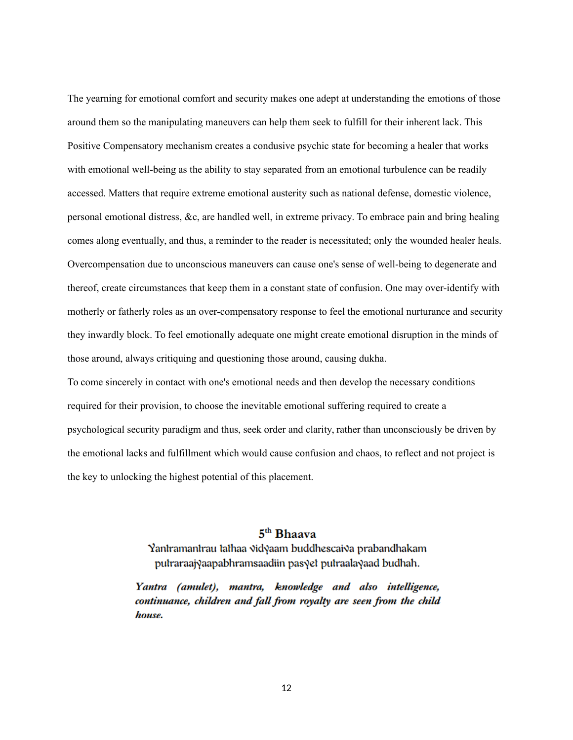The yearning for emotional comfort and security makes one adept at understanding the emotions of those around them so the manipulating maneuvers can help them seek to fulfill for their inherent lack. This Positive Compensatory mechanism creates a condusive psychic state for becoming a healer that works with emotional well-being as the ability to stay separated from an emotional turbulence can be readily accessed. Matters that require extreme emotional austerity such as national defense, domestic violence, personal emotional distress, &c, are handled well, in extreme privacy. To embrace pain and bring healing comes along eventually, and thus, a reminder to the reader is necessitated; only the wounded healer heals. Overcompensation due to unconscious maneuvers can cause one's sense of well-being to degenerate and thereof, create circumstances that keep them in a constant state of confusion. One may over-identify with motherly or fatherly roles as an over-compensatory response to feel the emotional nurturance and security they inwardly block. To feel emotionally adequate one might create emotional disruption in the minds of those around, always critiquing and questioning those around, causing dukha.

To come sincerely in contact with one's emotional needs and then develop the necessary conditions required for their provision, to choose the inevitable emotional suffering required to create a psychological security paradigm and thus, seek order and clarity, rather than unconsciously be driven by the emotional lacks and fulfillment which would cause confusion and chaos, to reflect and not project is the key to unlocking the highest potential of this placement.

# $5<sup>th</sup>$  Bhaaya

Yantramantrau tathaa vidyaam buddhescaiva prabandhakam putraraajyaapabhramsaadiin pasyet putraalayaad budhah.

Yantra (amulet), mantra, knowledge and also intelligence, continuance, children and fall from royalty are seen from the child house.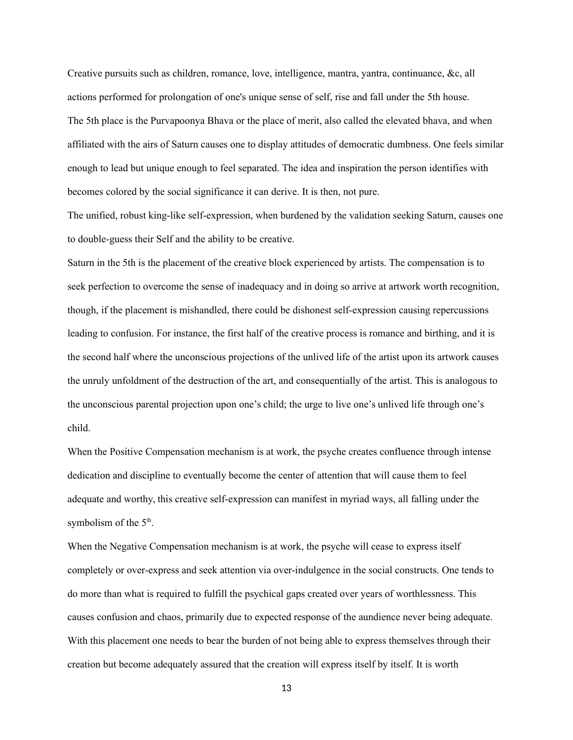Creative pursuits such as children, romance, love, intelligence, mantra, yantra, continuance, &c, all actions performed for prolongation of one's unique sense of self, rise and fall under the 5th house. The 5th place is the Purvapoonya Bhava or the place of merit, also called the elevated bhava, and when affiliated with the airs of Saturn causes one to display attitudes of democratic dumbness. One feels similar enough to lead but unique enough to feel separated. The idea and inspiration the person identifies with becomes colored by the social significance it can derive. It is then, not pure.

The unified, robust king-like self-expression, when burdened by the validation seeking Saturn, causes one to double-guess their Self and the ability to be creative.

Saturn in the 5th is the placement of the creative block experienced by artists. The compensation is to seek perfection to overcome the sense of inadequacy and in doing so arrive at artwork worth recognition, though, if the placement is mishandled, there could be dishonest self-expression causing repercussions leading to confusion. For instance, the first half of the creative process is romance and birthing, and it is the second half where the unconscious projections of the unlived life of the artist upon its artwork causes the unruly unfoldment of the destruction of the art, and consequentially of the artist. This is analogous to the unconscious parental projection upon one's child; the urge to live one's unlived life through one's child.

When the Positive Compensation mechanism is at work, the psyche creates confluence through intense dedication and discipline to eventually become the center of attention that will cause them to feel adequate and worthy, this creative self-expression can manifest in myriad ways, all falling under the symbolism of the 5<sup>th</sup>.

When the Negative Compensation mechanism is at work, the psyche will cease to express itself completely or over-express and seek attention via over-indulgence in the social constructs. One tends to do more than what is required to fulfill the psychical gaps created over years of worthlessness. This causes confusion and chaos, primarily due to expected response of the aundience never being adequate. With this placement one needs to bear the burden of not being able to express themselves through their creation but become adequately assured that the creation will express itself by itself. It is worth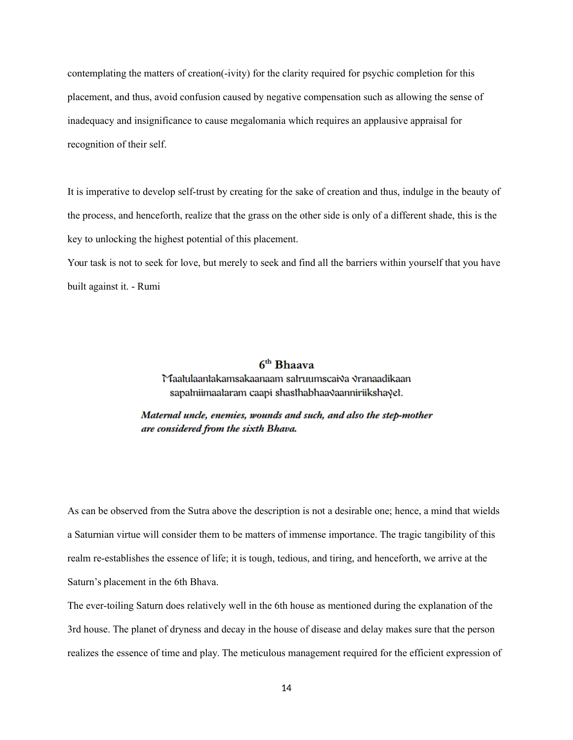contemplating the matters of creation(-ivity) for the clarity required for psychic completion for this placement, and thus, avoid confusion caused by negative compensation such as allowing the sense of inadequacy and insignificance to cause megalomania which requires an applausive appraisal for recognition of their self.

It is imperative to develop self-trust by creating for the sake of creation and thus, indulge in the beauty of the process, and henceforth, realize that the grass on the other side is only of a different shade, this is the key to unlocking the highest potential of this placement.

Your task is not to seek for love, but merely to seek and find all the barriers within yourself that you have built against it. - Rumi

## $6<sup>th</sup> Bhaava$

Maalulaanlakamsakaanaam salruumscaiva vranaadikaan sapalniimaalaram caapi shaslhabhaavaanniriikshayel.

## Maternal uncle, enemies, wounds and such, and also the step-mother are considered from the sixth Bhava.

As can be observed from the Sutra above the description is not a desirable one; hence, a mind that wields a Saturnian virtue will consider them to be matters of immense importance. The tragic tangibility of this realm re-establishes the essence of life; it is tough, tedious, and tiring, and henceforth, we arrive at the Saturn's placement in the 6th Bhava.

The ever-toiling Saturn does relatively well in the 6th house as mentioned during the explanation of the 3rd house. The planet of dryness and decay in the house of disease and delay makes sure that the person realizes the essence of time and play. The meticulous management required for the efficient expression of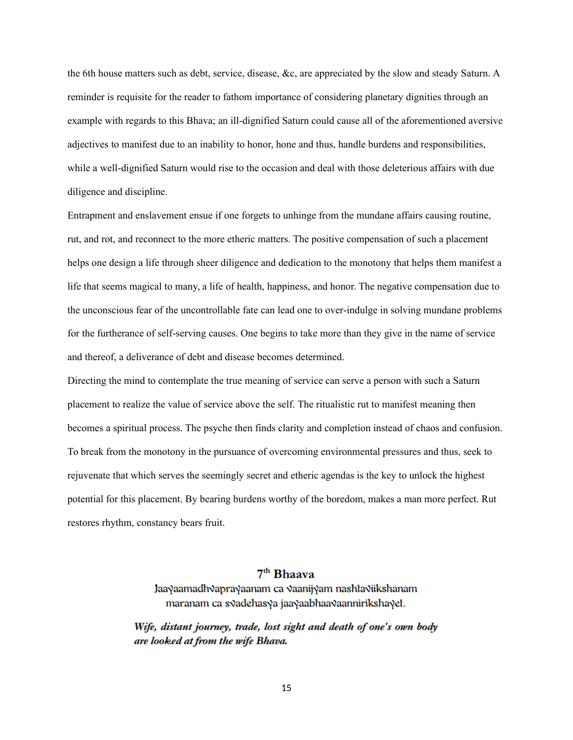the 6th house matters such as debt, service, disease, &c, are appreciated by the slow and steady Saturn. A reminder is requisite for the reader to fathom importance of considering planetary dignities through an example with regards to this Bhava; an ill-dignified Saturn could cause all of the aforementioned aversive adjectives to manifest due to an inability to honor, hone and thus, handle burdens and responsibilities, while a well-dignified Saturn would rise to the occasion and deal with those deleterious affairs with due diligence and discipline.

Entrapment and enslavement ensue if one forgets to unhinge from the mundane affairs causing routine, rut, and rot, and reconnect to the more etheric matters. The positive compensation of such a placement helps one design a life through sheer diligence and dedication to the monotony that helps them manifest a life that seems magical to many, a life of health, happiness, and honor. The negative compensation due to the unconscious fear of the uncontrollable fate can lead one to over-indulge in solving mundane problems for the furtherance of self-serving causes. One begins to take more than they give in the name of service and thereof, a deliverance of debt and disease becomes determined.

Directing the mind to contemplate the true meaning of service can serve a person with such a Saturn placement to realize the value of service above the self. The ritualistic rut to manifest meaning then becomes a spiritual process. The psyche then finds clarity and completion instead of chaos and confusion. To break from the monotony in the pursuance of overcoming environmental pressures and thus, seek to rejuvenate that which serves the seemingly secret and etheric agendas is the key to unlock the highest potential for this placement. By bearing burdens worthy of the boredom, makes a man more perfect. Rut restores rhythm, constancy bears fruit.

# 7<sup>th</sup> Bhaava Jaayaamadhvaprayaanam ca vaanijyam nashtaviikshanam maranam ca svadehasya jaayaabhaavaannirikshayet.

Wife, distant journey, trade, lost sight and death of one's own body are looked at from the wife Bhava.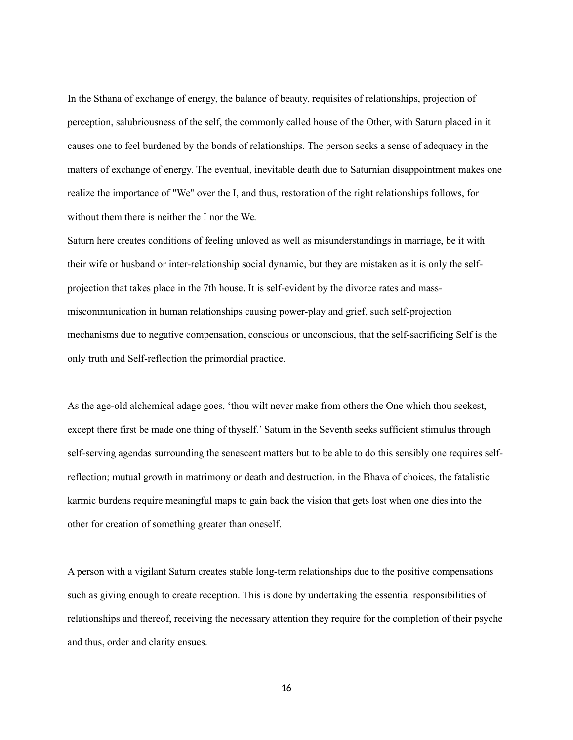In the Sthana of exchange of energy, the balance of beauty, requisites of relationships, projection of perception, salubriousness of the self, the commonly called house of the Other, with Saturn placed in it causes one to feel burdened by the bonds of relationships. The person seeks a sense of adequacy in the matters of exchange of energy. The eventual, inevitable death due to Saturnian disappointment makes one realize the importance of "We" over the I, and thus, restoration of the right relationships follows, for without them there is neither the I nor the We.

Saturn here creates conditions of feeling unloved as well as misunderstandings in marriage, be it with their wife or husband or inter-relationship social dynamic, but they are mistaken as it is only the selfprojection that takes place in the 7th house. It is self-evident by the divorce rates and massmiscommunication in human relationships causing power-play and grief, such self-projection mechanisms due to negative compensation, conscious or unconscious, that the self-sacrificing Self is the only truth and Self-reflection the primordial practice.

As the age-old alchemical adage goes, 'thou wilt never make from others the One which thou seekest, except there first be made one thing of thyself.' Saturn in the Seventh seeks sufficient stimulus through self-serving agendas surrounding the senescent matters but to be able to do this sensibly one requires selfreflection; mutual growth in matrimony or death and destruction, in the Bhava of choices, the fatalistic karmic burdens require meaningful maps to gain back the vision that gets lost when one dies into the other for creation of something greater than oneself.

A person with a vigilant Saturn creates stable long-term relationships due to the positive compensations such as giving enough to create reception. This is done by undertaking the essential responsibilities of relationships and thereof, receiving the necessary attention they require for the completion of their psyche and thus, order and clarity ensues.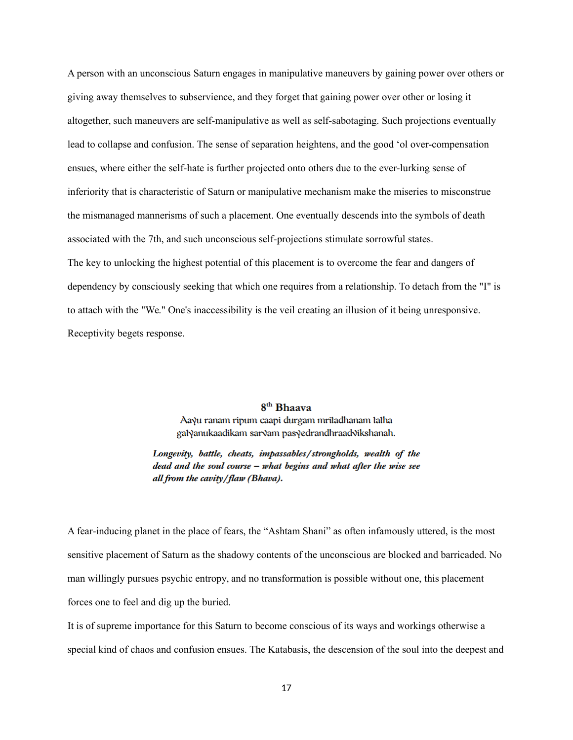A person with an unconscious Saturn engages in manipulative maneuvers by gaining power over others or giving away themselves to subservience, and they forget that gaining power over other or losing it altogether, such maneuvers are self-manipulative as well as self-sabotaging. Such projections eventually lead to collapse and confusion. The sense of separation heightens, and the good 'ol over-compensation ensues, where either the self-hate is further projected onto others due to the ever-lurking sense of inferiority that is characteristic of Saturn or manipulative mechanism make the miseries to misconstrue the mismanaged mannerisms of such a placement. One eventually descends into the symbols of death associated with the 7th, and such unconscious self-projections stimulate sorrowful states. The key to unlocking the highest potential of this placement is to overcome the fear and dangers of dependency by consciously seeking that which one requires from a relationship. To detach from the "I" is to attach with the "We." One's inaccessibility is the veil creating an illusion of it being unresponsive. Receptivity begets response.

## 8<sup>th</sup> Bhaava

Aaγu ranam ripum caapi durgam mritadhanam tatha gal√anukaadikam sar√am pas√edrandhraad√ikshanah.

Longevity, battle, cheats, impassables/strongholds, wealth of the  $dead$  and the soul course  $-$  what begins and what after the wise see all from the cavity/flaw (Bhava).

A fear-inducing planet in the place of fears, the "Ashtam Shani" as often infamously uttered, is the most sensitive placement of Saturn as the shadowy contents of the unconscious are blocked and barricaded. No man willingly pursues psychic entropy, and no transformation is possible without one, this placement forces one to feel and dig up the buried.

It is of supreme importance for this Saturn to become conscious of its ways and workings otherwise a special kind of chaos and confusion ensues. The Katabasis, the descension of the soul into the deepest and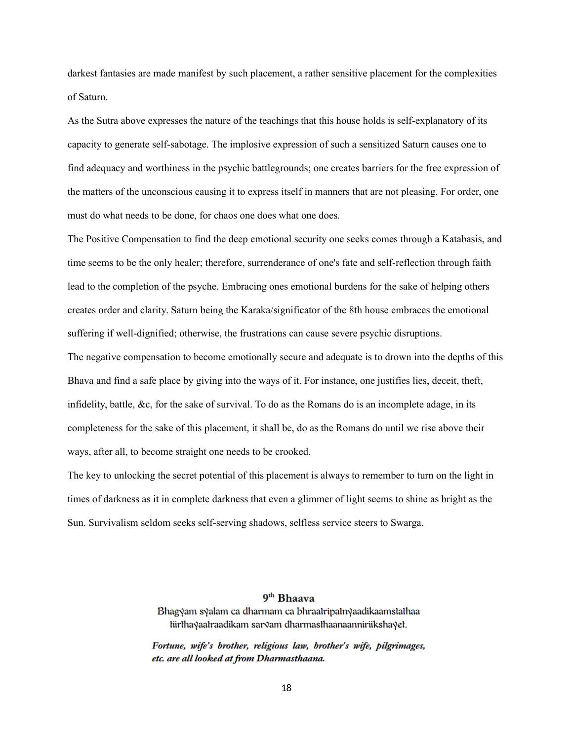darkest fantasies are made manifest by such placement, a rather sensitive placement for the complexities of Saturn.

As the Sutra above expresses the nature of the teachings that this house holds is self-explanatory of its capacity to generate self-sabotage. The implosive expression of such a sensitized Saturn causes one to find adequacy and worthiness in the psychic battlegrounds; one creates barriers for the free expression of the matters of the unconscious causing it to express itself in manners that are not pleasing. For order, one must do what needs to be done, for chaos one does what one does.

The Positive Compensation to find the deep emotional security one seeks comes through a Katabasis, and time seems to be the only healer; therefore, surrenderance of one's fate and self-reflection through faith lead to the completion of the psyche. Embracing ones emotional burdens for the sake of helping others creates order and clarity. Saturn being the Karaka/significator of the 8th house embraces the emotional suffering if well-dignified; otherwise, the frustrations can cause severe psychic disruptions. The negative compensation to become emotionally secure and adequate is to drown into the depths of this Bhava and find a safe place by giving into the ways of it. For instance, one justifies lies, deceit, theft, infidelity, battle, &c, for the sake of survival. To do as the Romans do is an incomplete adage, in its completeness for the sake of this placement, it shall be, do as the Romans do until we rise above their ways, after all, to become straight one needs to be crooked.

The key to unlocking the secret potential of this placement is always to remember to turn on the light in times of darkness as it in complete darkness that even a glimmer of light seems to shine as bright as the Sun. Survivalism seldom seeks self-serving shadows, selfless service steers to Swarga.

## 9<sup>th</sup> Bhaava

Bhagyam syalam ca dharmam ca bhraatripatnyaadikaamstathaa liirthayaalraadikam sarvam dharmasthaanaanniriikshayet.

Fortune, wife's brother, religious law, brother's wife, pilgrimages, etc. are all looked at from Dharmasthaana.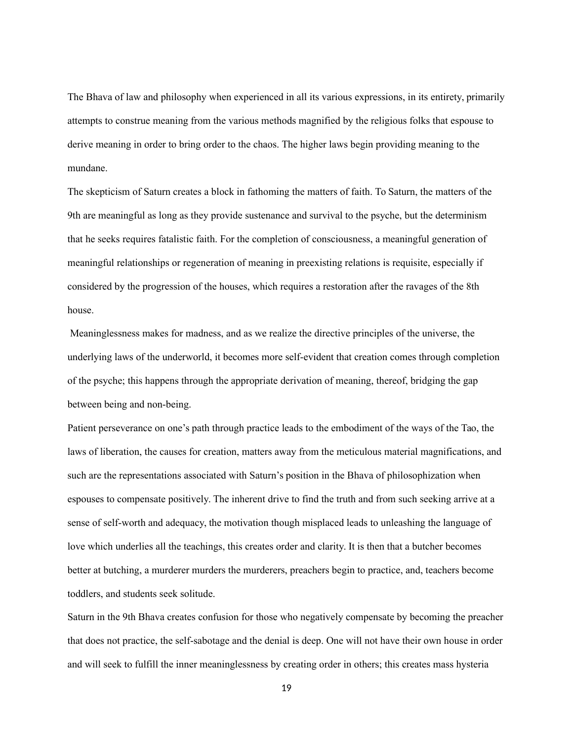The Bhava of law and philosophy when experienced in all its various expressions, in its entirety, primarily attempts to construe meaning from the various methods magnified by the religious folks that espouse to derive meaning in order to bring order to the chaos. The higher laws begin providing meaning to the mundane.

The skepticism of Saturn creates a block in fathoming the matters of faith. To Saturn, the matters of the 9th are meaningful as long as they provide sustenance and survival to the psyche, but the determinism that he seeks requires fatalistic faith. For the completion of consciousness, a meaningful generation of meaningful relationships or regeneration of meaning in preexisting relations is requisite, especially if considered by the progression of the houses, which requires a restoration after the ravages of the 8th house.

 Meaninglessness makes for madness, and as we realize the directive principles of the universe, the underlying laws of the underworld, it becomes more self-evident that creation comes through completion of the psyche; this happens through the appropriate derivation of meaning, thereof, bridging the gap between being and non-being.

Patient perseverance on one's path through practice leads to the embodiment of the ways of the Tao, the laws of liberation, the causes for creation, matters away from the meticulous material magnifications, and such are the representations associated with Saturn's position in the Bhava of philosophization when espouses to compensate positively. The inherent drive to find the truth and from such seeking arrive at a sense of self-worth and adequacy, the motivation though misplaced leads to unleashing the language of love which underlies all the teachings, this creates order and clarity. It is then that a butcher becomes better at butching, a murderer murders the murderers, preachers begin to practice, and, teachers become toddlers, and students seek solitude.

Saturn in the 9th Bhava creates confusion for those who negatively compensate by becoming the preacher that does not practice, the self-sabotage and the denial is deep. One will not have their own house in order and will seek to fulfill the inner meaninglessness by creating order in others; this creates mass hysteria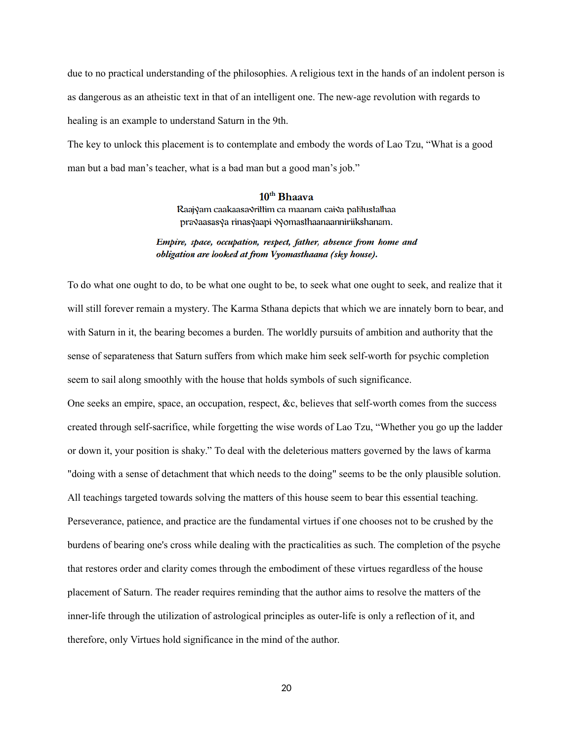due to no practical understanding of the philosophies. A religious text in the hands of an indolent person is as dangerous as an atheistic text in that of an intelligent one. The new-age revolution with regards to healing is an example to understand Saturn in the 9th.

The key to unlock this placement is to contemplate and embody the words of Lao Tzu, "What is a good man but a bad man's teacher, what is a bad man but a good man's job."

## $10<sup>th</sup> Bhaava$

Raajyam caakaasa√rillim ca maanam cai√a paliluslalhaa pravaasasya rinasyaapi vyomasthaanaanniriikshanam.

### Empire, space, occupation, respect, father, absence from home and obligation are looked at from Vyomasthaana (sky house).

To do what one ought to do, to be what one ought to be, to seek what one ought to seek, and realize that it will still forever remain a mystery. The Karma Sthana depicts that which we are innately born to bear, and with Saturn in it, the bearing becomes a burden. The worldly pursuits of ambition and authority that the sense of separateness that Saturn suffers from which make him seek self-worth for psychic completion seem to sail along smoothly with the house that holds symbols of such significance.

One seeks an empire, space, an occupation, respect, &c, believes that self-worth comes from the success created through self-sacrifice, while forgetting the wise words of Lao Tzu, "Whether you go up the ladder or down it, your position is shaky." To deal with the deleterious matters governed by the laws of karma "doing with a sense of detachment that which needs to the doing" seems to be the only plausible solution. All teachings targeted towards solving the matters of this house seem to bear this essential teaching. Perseverance, patience, and practice are the fundamental virtues if one chooses not to be crushed by the burdens of bearing one's cross while dealing with the practicalities as such. The completion of the psyche that restores order and clarity comes through the embodiment of these virtues regardless of the house placement of Saturn. The reader requires reminding that the author aims to resolve the matters of the inner-life through the utilization of astrological principles as outer-life is only a reflection of it, and therefore, only Virtues hold significance in the mind of the author.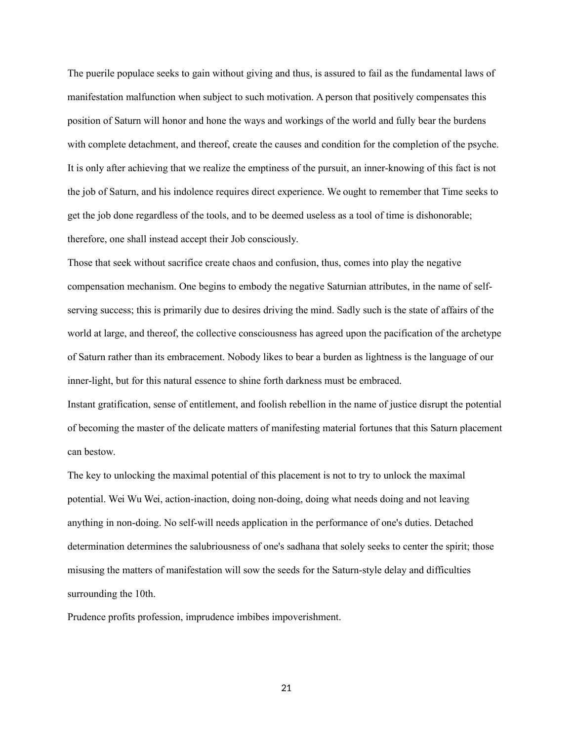The puerile populace seeks to gain without giving and thus, is assured to fail as the fundamental laws of manifestation malfunction when subject to such motivation. A person that positively compensates this position of Saturn will honor and hone the ways and workings of the world and fully bear the burdens with complete detachment, and thereof, create the causes and condition for the completion of the psyche. It is only after achieving that we realize the emptiness of the pursuit, an inner-knowing of this fact is not the job of Saturn, and his indolence requires direct experience. We ought to remember that Time seeks to get the job done regardless of the tools, and to be deemed useless as a tool of time is dishonorable; therefore, one shall instead accept their Job consciously.

Those that seek without sacrifice create chaos and confusion, thus, comes into play the negative compensation mechanism. One begins to embody the negative Saturnian attributes, in the name of selfserving success; this is primarily due to desires driving the mind. Sadly such is the state of affairs of the world at large, and thereof, the collective consciousness has agreed upon the pacification of the archetype of Saturn rather than its embracement. Nobody likes to bear a burden as lightness is the language of our inner-light, but for this natural essence to shine forth darkness must be embraced.

Instant gratification, sense of entitlement, and foolish rebellion in the name of justice disrupt the potential of becoming the master of the delicate matters of manifesting material fortunes that this Saturn placement can bestow.

The key to unlocking the maximal potential of this placement is not to try to unlock the maximal potential. Wei Wu Wei, action-inaction, doing non-doing, doing what needs doing and not leaving anything in non-doing. No self-will needs application in the performance of one's duties. Detached determination determines the salubriousness of one's sadhana that solely seeks to center the spirit; those misusing the matters of manifestation will sow the seeds for the Saturn-style delay and difficulties surrounding the 10th.

Prudence profits profession, imprudence imbibes impoverishment.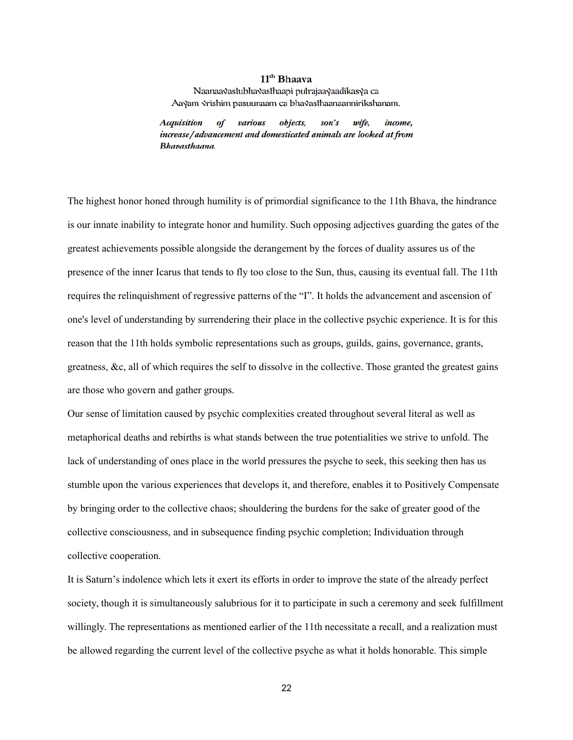## 11<sup>th</sup> Bhaava

Naanaa√aslubha√aslhaapi pulrajaa√aadikas√a ca Aayam vrishim pasuunaam ca bhavasthaanaannirikshanam.

**Acquisition** of various objects, son's wife, income, increase/advancement and domesticated animals are looked at from Bhavasthaana.

The highest honor honed through humility is of primordial significance to the 11th Bhava, the hindrance is our innate inability to integrate honor and humility. Such opposing adjectives guarding the gates of the greatest achievements possible alongside the derangement by the forces of duality assures us of the presence of the inner Icarus that tends to fly too close to the Sun, thus, causing its eventual fall. The 11th requires the relinquishment of regressive patterns of the "I". It holds the advancement and ascension of one's level of understanding by surrendering their place in the collective psychic experience. It is for this reason that the 11th holds symbolic representations such as groups, guilds, gains, governance, grants, greatness, &c, all of which requires the self to dissolve in the collective. Those granted the greatest gains are those who govern and gather groups.

Our sense of limitation caused by psychic complexities created throughout several literal as well as metaphorical deaths and rebirths is what stands between the true potentialities we strive to unfold. The lack of understanding of ones place in the world pressures the psyche to seek, this seeking then has us stumble upon the various experiences that develops it, and therefore, enables it to Positively Compensate by bringing order to the collective chaos; shouldering the burdens for the sake of greater good of the collective consciousness, and in subsequence finding psychic completion; Individuation through collective cooperation.

It is Saturn's indolence which lets it exert its efforts in order to improve the state of the already perfect society, though it is simultaneously salubrious for it to participate in such a ceremony and seek fulfillment willingly. The representations as mentioned earlier of the 11th necessitate a recall, and a realization must be allowed regarding the current level of the collective psyche as what it holds honorable. This simple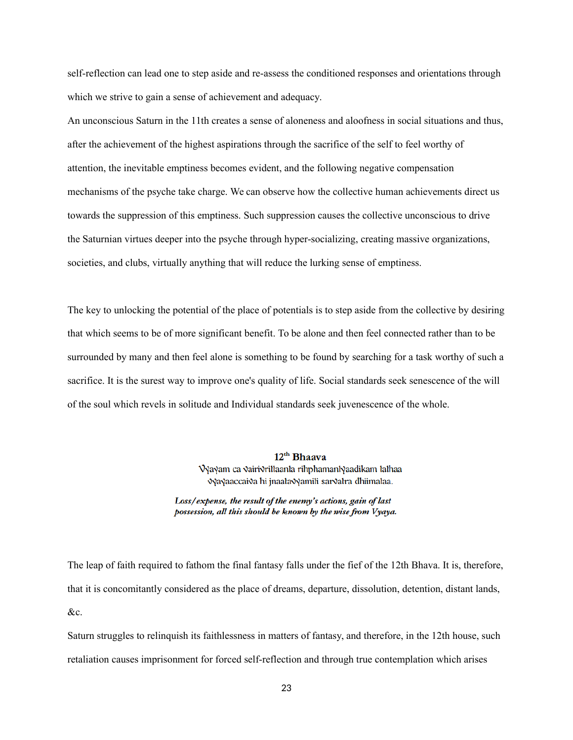self-reflection can lead one to step aside and re-assess the conditioned responses and orientations through which we strive to gain a sense of achievement and adequacy.

An unconscious Saturn in the 11th creates a sense of aloneness and aloofness in social situations and thus, after the achievement of the highest aspirations through the sacrifice of the self to feel worthy of attention, the inevitable emptiness becomes evident, and the following negative compensation mechanisms of the psyche take charge. We can observe how the collective human achievements direct us towards the suppression of this emptiness. Such suppression causes the collective unconscious to drive the Saturnian virtues deeper into the psyche through hyper-socializing, creating massive organizations, societies, and clubs, virtually anything that will reduce the lurking sense of emptiness.

The key to unlocking the potential of the place of potentials is to step aside from the collective by desiring that which seems to be of more significant benefit. To be alone and then feel connected rather than to be surrounded by many and then feel alone is something to be found by searching for a task worthy of such a sacrifice. It is the surest way to improve one's quality of life. Social standards seek senescence of the will of the soul which revels in solitude and Individual standards seek juvenescence of the whole.

> $12<sup>th</sup>$  Bhaava Vyayam ca vairivrillaanta rihphamantyaadikam tathaa √yayaaccai√a hi jnaala√yamili sar√alra dhiimalaa.

Loss/expense, the result of the enemy's actions, gain of last possession, all this should be known by the wise from Vyaya.

The leap of faith required to fathom the final fantasy falls under the fief of the 12th Bhava. It is, therefore, that it is concomitantly considered as the place of dreams, departure, dissolution, detention, distant lands, &c.

Saturn struggles to relinquish its faithlessness in matters of fantasy, and therefore, in the 12th house, such retaliation causes imprisonment for forced self-reflection and through true contemplation which arises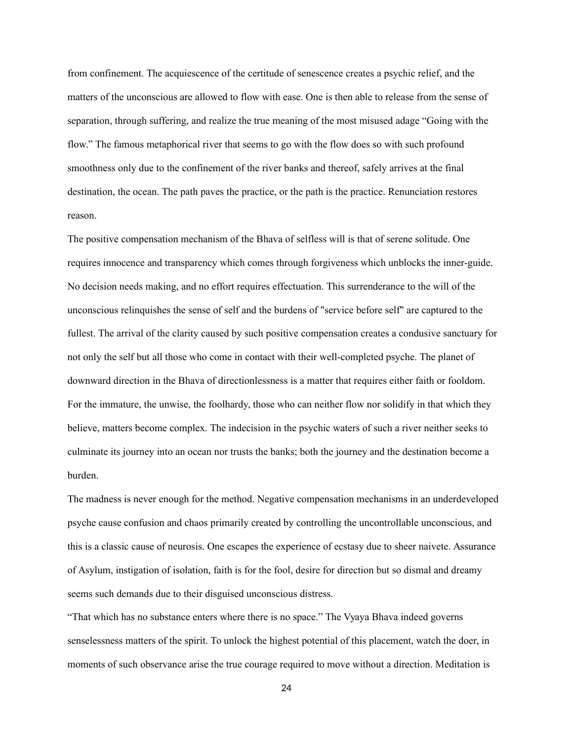from confinement. The acquiescence of the certitude of senescence creates a psychic relief, and the matters of the unconscious are allowed to flow with ease. One is then able to release from the sense of separation, through suffering, and realize the true meaning of the most misused adage "Going with the flow." The famous metaphorical river that seems to go with the flow does so with such profound smoothness only due to the confinement of the river banks and thereof, safely arrives at the final destination, the ocean. The path paves the practice, or the path is the practice. Renunciation restores reason.

The positive compensation mechanism of the Bhava of selfless will is that of serene solitude. One requires innocence and transparency which comes through forgiveness which unblocks the inner-guide. No decision needs making, and no effort requires effectuation. This surrenderance to the will of the unconscious relinquishes the sense of self and the burdens of "service before self" are captured to the fullest. The arrival of the clarity caused by such positive compensation creates a condusive sanctuary for not only the self but all those who come in contact with their well-completed psyche. The planet of downward direction in the Bhava of directionlessness is a matter that requires either faith or fooldom. For the immature, the unwise, the foolhardy, those who can neither flow nor solidify in that which they believe, matters become complex. The indecision in the psychic waters of such a river neither seeks to culminate its journey into an ocean nor trusts the banks; both the journey and the destination become a burden.

The madness is never enough for the method. Negative compensation mechanisms in an underdeveloped psyche cause confusion and chaos primarily created by controlling the uncontrollable unconscious, and this is a classic cause of neurosis. One escapes the experience of ecstasy due to sheer naivete. Assurance of Asylum, instigation of isolation, faith is for the fool, desire for direction but so dismal and dreamy seems such demands due to their disguised unconscious distress.

"That which has no substance enters where there is no space." The Vyaya Bhava indeed governs senselessness matters of the spirit. To unlock the highest potential of this placement, watch the doer, in moments of such observance arise the true courage required to move without a direction. Meditation is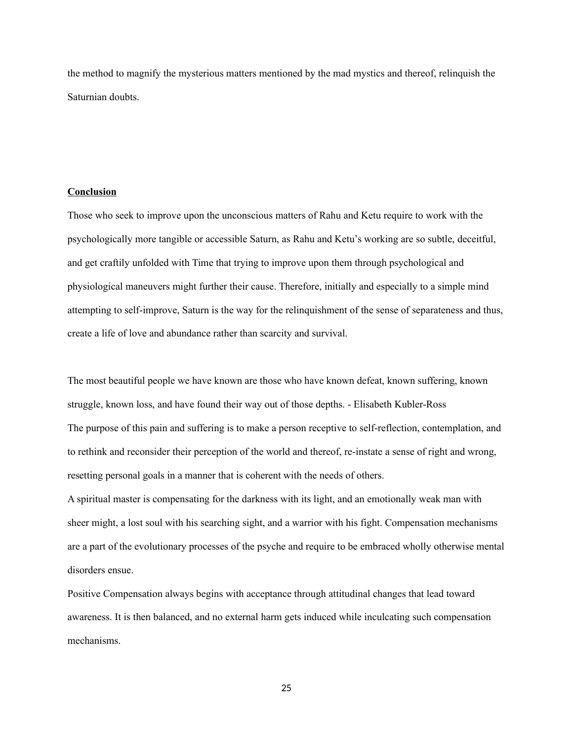the method to magnify the mysterious matters mentioned by the mad mystics and thereof, relinquish the Saturnian doubts.

### **Conclusion**

Those who seek to improve upon the unconscious matters of Rahu and Ketu require to work with the psychologically more tangible or accessible Saturn, as Rahu and Ketu's working are so subtle, deceitful, and get craftily unfolded with Time that trying to improve upon them through psychological and physiological maneuvers might further their cause. Therefore, initially and especially to a simple mind attempting to self-improve, Saturn is the way for the relinquishment of the sense of separateness and thus, create a life of love and abundance rather than scarcity and survival.

The most beautiful people we have known are those who have known defeat, known suffering, known struggle, known loss, and have found their way out of those depths. - Elisabeth Kubler-Ross The purpose of this pain and suffering is to make a person receptive to self-reflection, contemplation, and to rethink and reconsider their perception of the world and thereof, re-instate a sense of right and wrong, resetting personal goals in a manner that is coherent with the needs of others.

A spiritual master is compensating for the darkness with its light, and an emotionally weak man with sheer might, a lost soul with his searching sight, and a warrior with his fight. Compensation mechanisms are a part of the evolutionary processes of the psyche and require to be embraced wholly otherwise mental disorders ensue.

Positive Compensation always begins with acceptance through attitudinal changes that lead toward awareness. It is then balanced, and no external harm gets induced while inculcating such compensation mechanisms.